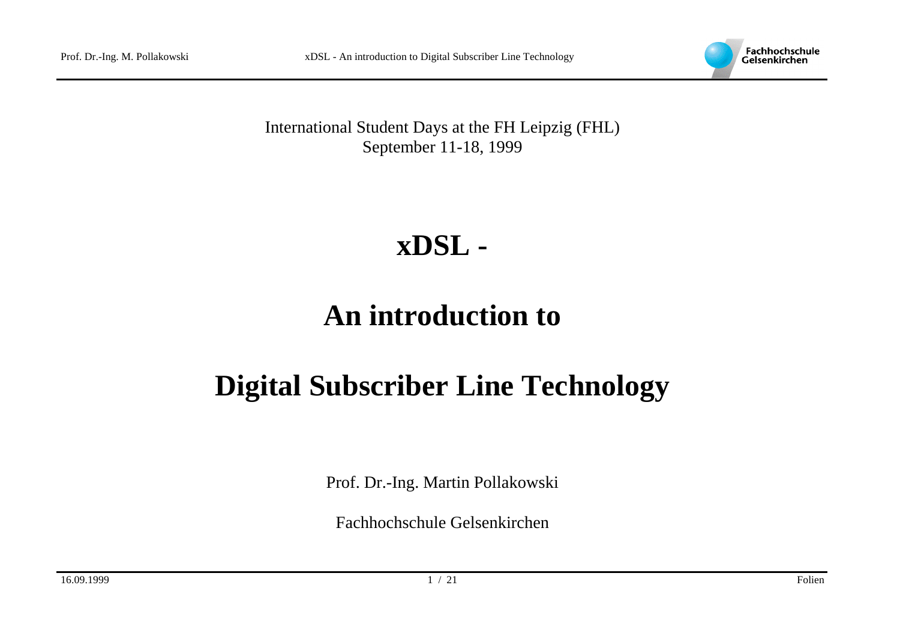

International Student Days at the FH Leipzig (FHL) September 11-18, 1999

## **xDSL -**

# **An introduction to**

# **Digital Subscriber Line Technology**

Prof. Dr.-Ing. Martin Pollakowski

Fachhochschule Gelsenkirchen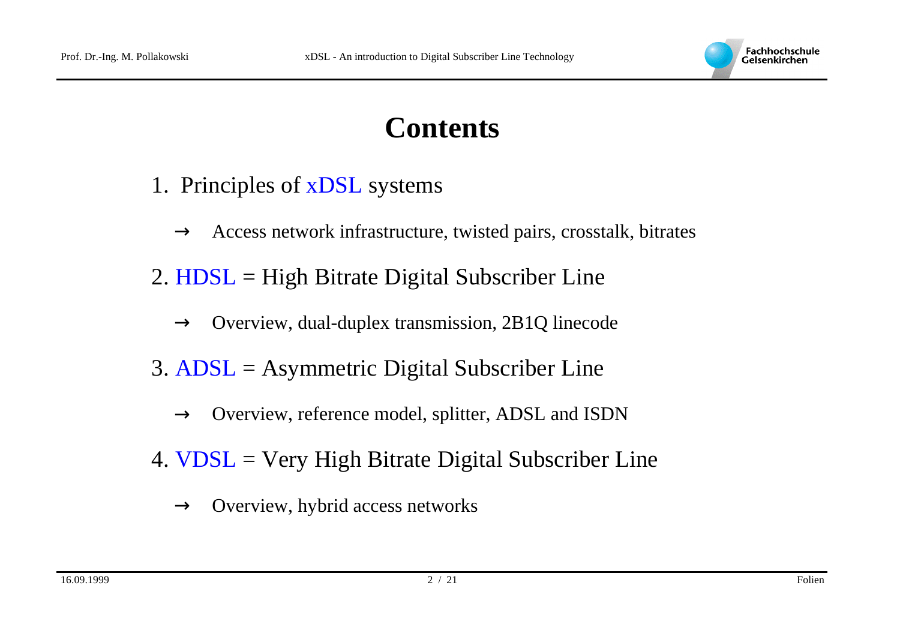

### **Contents**

- 1. Principles of xDSL systems
	- $\rightarrow$  Access network infrastructure, twisted pairs, crosstalk, bitrates
- 2. HDSL = High Bitrate Digital Subscriber Line
	- $\rightarrow$ Overview, dual-duplex transmission, 2B1Q linecode
- 3. ADSL = Asymmetric Digital Subscriber Line
	- $\rightarrow$ Overview, reference model, splitter, ADSL and ISDN
- 4. VDSL = Very High Bitrate Digital Subscriber Line
	- $\rightarrow$ Overview, hybrid access networks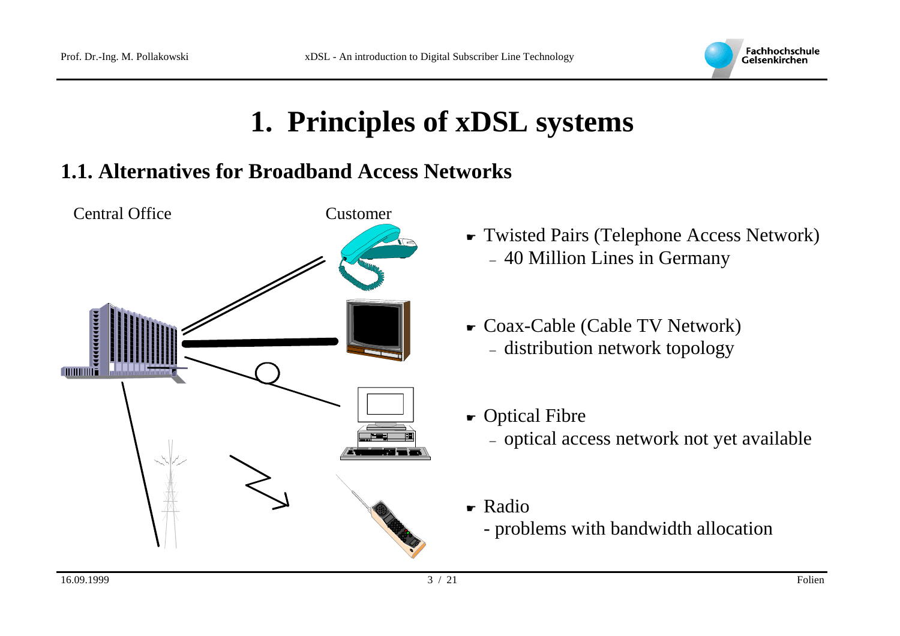

### **1. Principles of xDSL systems**

#### **1.1. Alternatives for Broadband Access Networks**



- ☛ Twisted Pairs (Telephone Access Network) – 40 Million Lines in Germany
- ☛ Coax-Cable (Cable TV Network) – distribution network topology
- ☛ Optical Fibre – optical access network not yet available
- ☛ Radio
	- problems with bandwidth allocation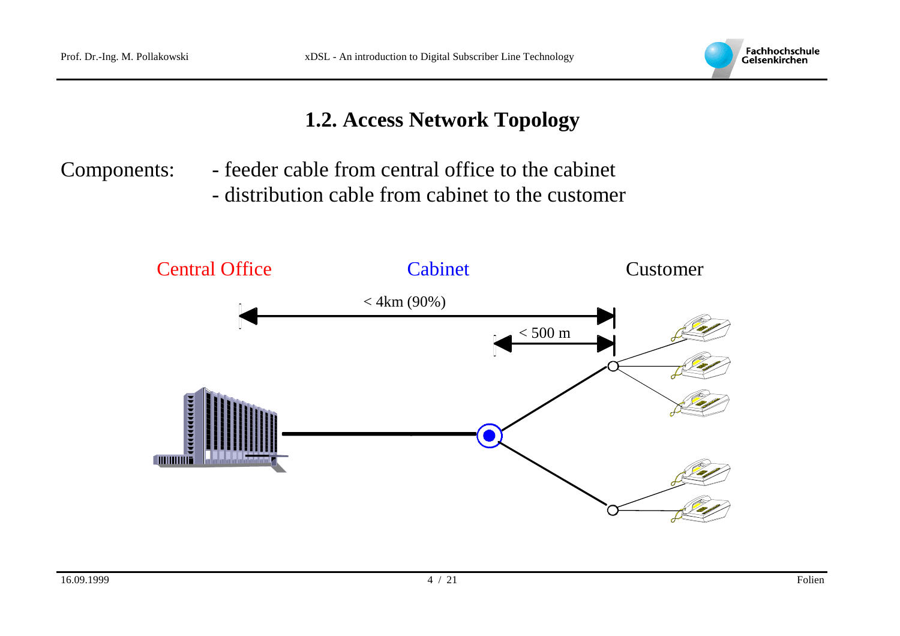

#### **1.2. Access Network Topology**

Components: - feeder cable from central office to the cabinet - distribution cable from cabinet to the customer

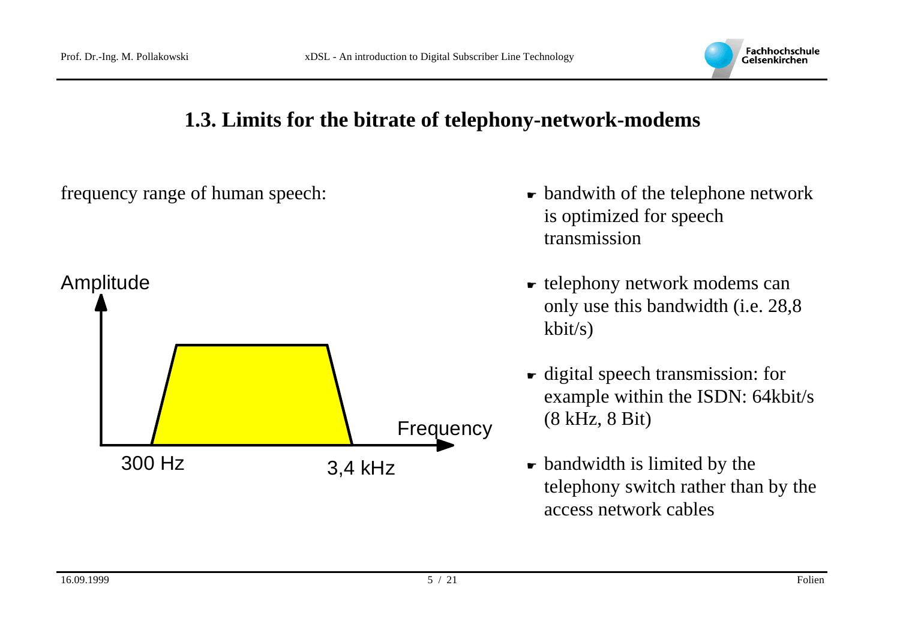

#### **1.3. Limits for the bitrate of telephony-network-modems**

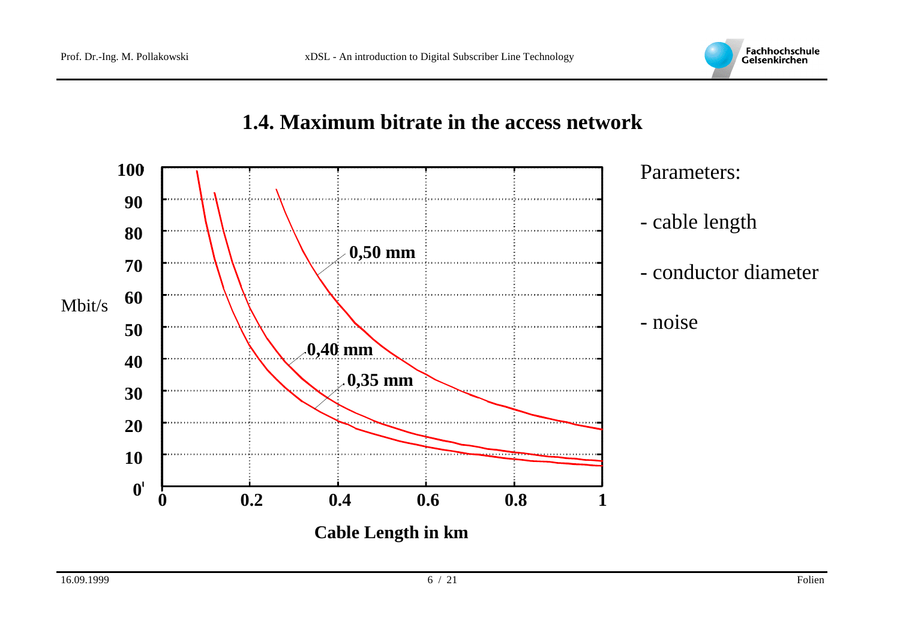

#### **1.4. Maximum bitrate in the access network**

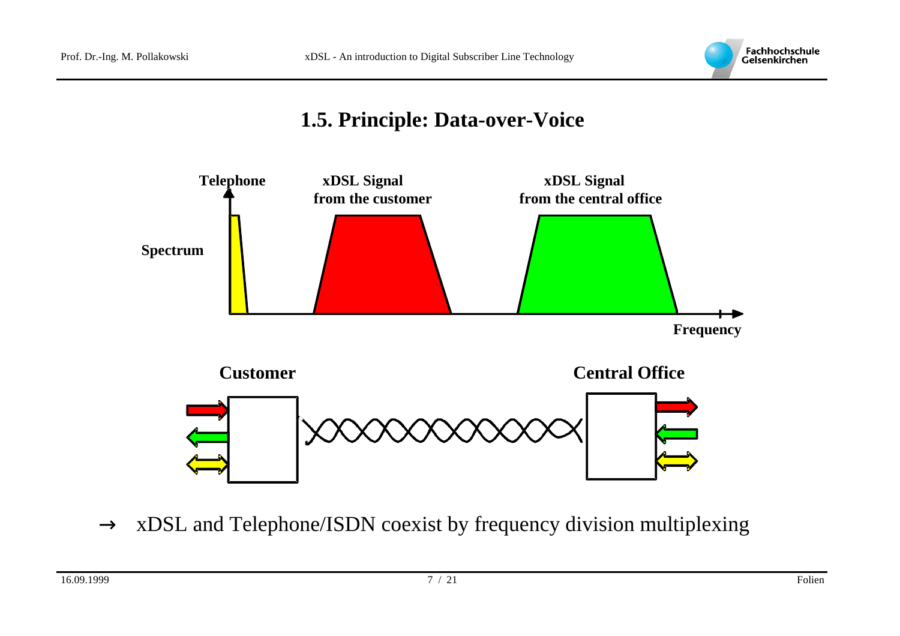

#### **1.5. Principle: Data-over-Voice**



 $\rightarrow$  xDSL and Telephone/ISDN coexist by frequency division multiplexing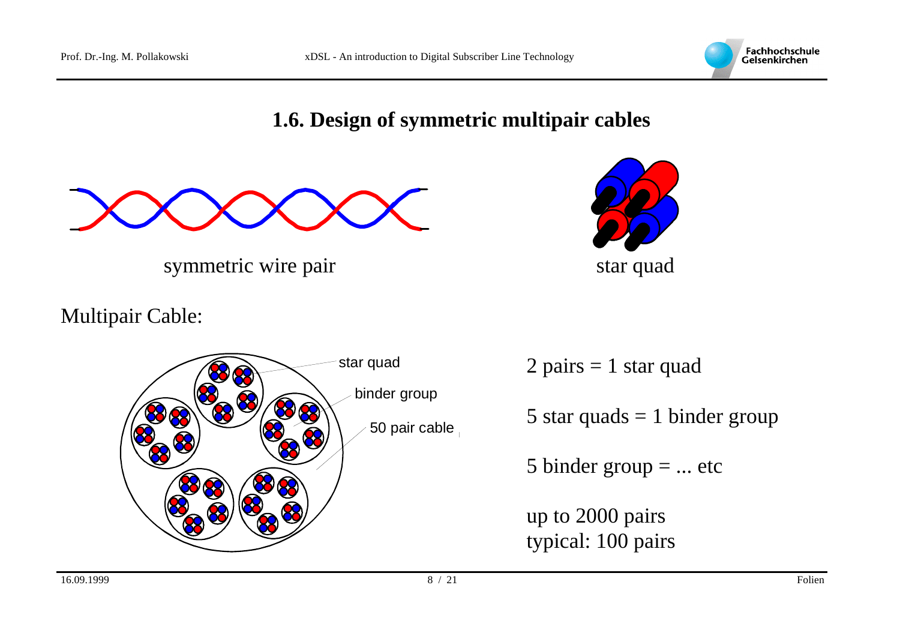

#### **1.6. Design of symmetric multipair cables**



symmetric wire pair star quad

Multipair Cable:





 $2$  pairs = 1 star quad

5 star quads  $=$  1 binder group

5 binder group  $= ...$  etc

up to 2000 pairs typical: 100 pairs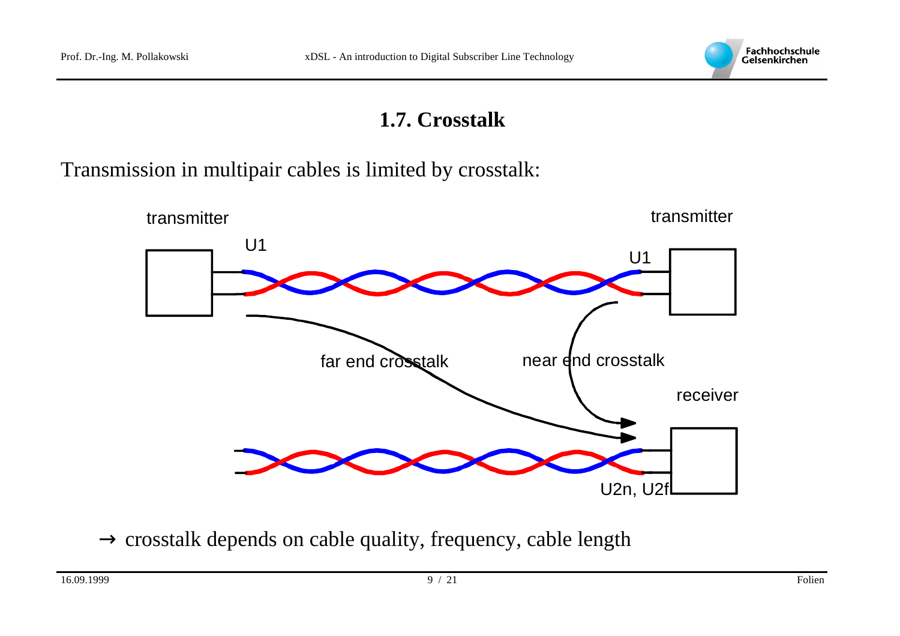

#### **1.7. Crosstalk**

#### Transmission in multipair cables is limited by crosstalk:



 $\rightarrow$  crosstalk depends on cable quality, frequency, cable length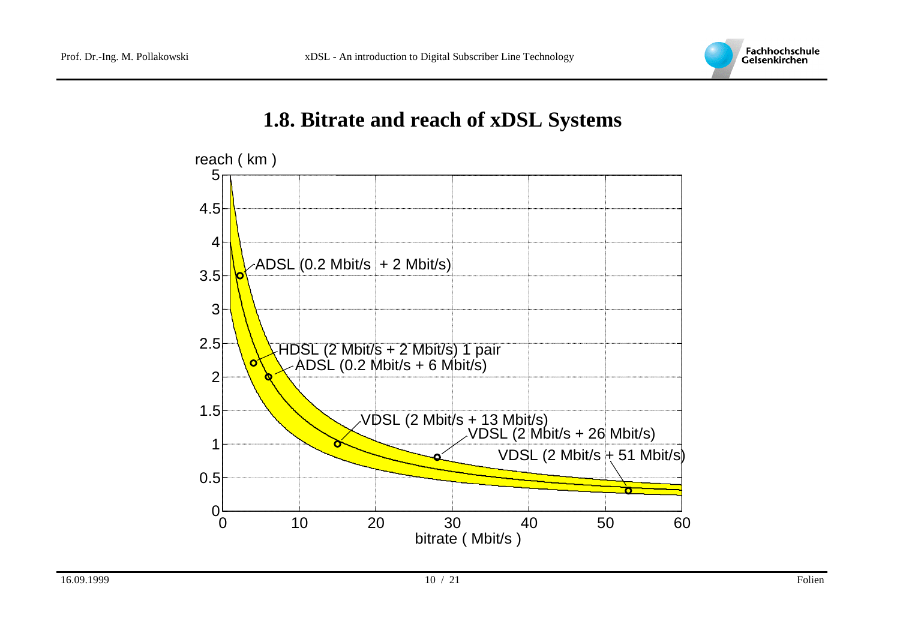

#### **1.8. Bitrate and reach of xDSL Systems**

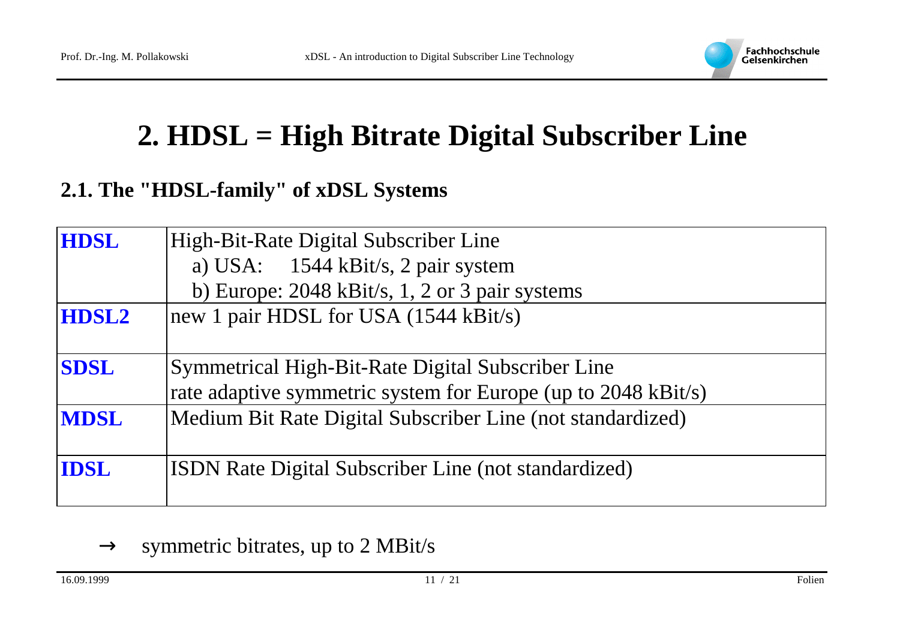

### **2. HDSL = High Bitrate Digital Subscriber Line**

#### **2.1. The "HDSL-family" of xDSL Systems**

| <b>HDSL</b> | High-Bit-Rate Digital Subscriber Line                         |
|-------------|---------------------------------------------------------------|
|             | a) USA: 1544 kBit/s, 2 pair system                            |
|             | b) Europe: $2048$ kBit/s, 1, 2 or 3 pair systems              |
| HDSL2       | new 1 pair HDSL for USA (1544 kBit/s)                         |
| <b>SDSL</b> | Symmetrical High-Bit-Rate Digital Subscriber Line             |
|             | rate adaptive symmetric system for Europe (up to 2048 kBit/s) |
| <b>MDSL</b> | Medium Bit Rate Digital Subscriber Line (not standardized)    |
| <b>IDSL</b> | <b>ISDN</b> Rate Digital Subscriber Line (not standardized)   |

#### $\rightarrow$  symmetric bitrates, up to 2 MBit/s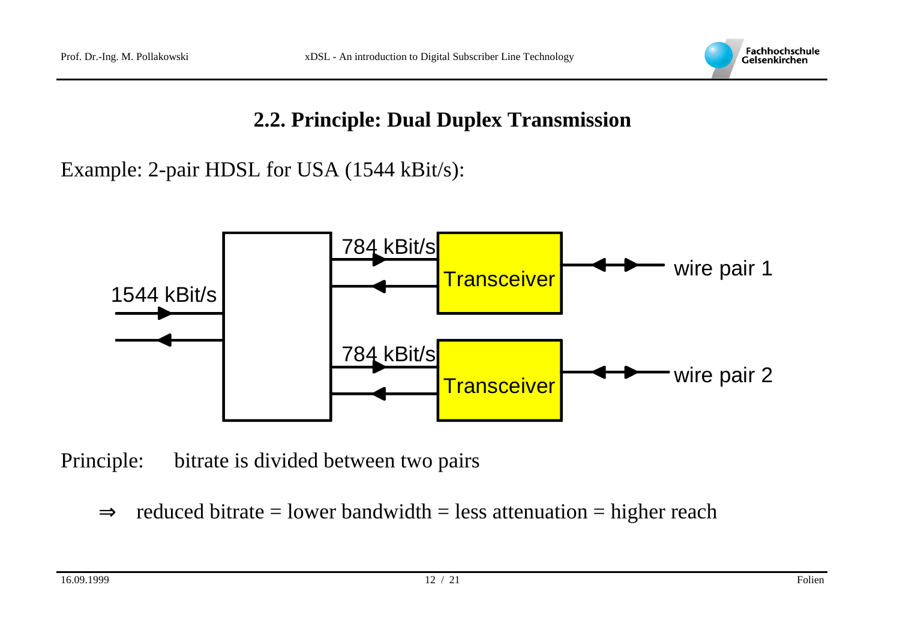

#### **2.2. Principle: Dual Duplex Transmission**

Example: 2-pair HDSL for USA (1544 kBit/s):



Principle: bitrate is divided between two pairs

⇒reduced bitrate  $=$  lower bandwidth  $=$  less attenuation  $=$  higher reach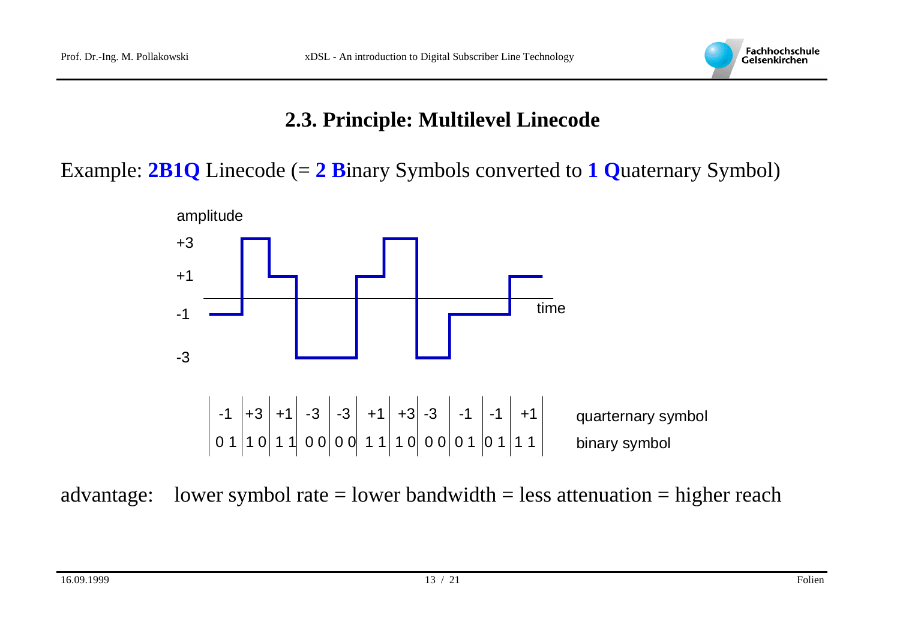

#### **2.3. Principle: Multilevel Linecode**

Example: **2B1Q** Linecode (= **2 B**inary Symbols converted to **1 Q**uaternary Symbol)



advantage: lower symbol rate = lower bandwidth = less attenuation = higher reach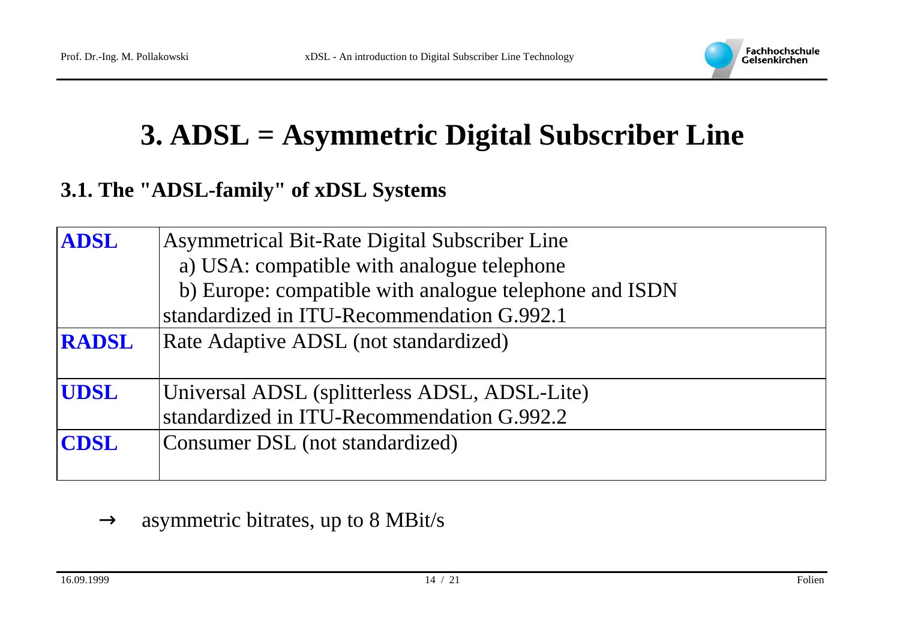

### **3. ADSL = Asymmetric Digital Subscriber Line**

#### **3.1. The "ADSL-family" of xDSL Systems**

| <b>ADSL</b>  | Asymmetrical Bit-Rate Digital Subscriber Line          |
|--------------|--------------------------------------------------------|
|              | a) USA: compatible with analogue telephone             |
|              | b) Europe: compatible with analogue telephone and ISDN |
|              | standardized in ITU-Recommendation G.992.1             |
| <b>RADSL</b> | Rate Adaptive ADSL (not standardized)                  |
|              |                                                        |
| <b>UDSL</b>  | Universal ADSL (splitterless ADSL, ADSL-Lite)          |
|              | standardized in ITU-Recommendation G.992.2             |
| <b>CDSL</b>  | Consumer DSL (not standardized)                        |
|              |                                                        |

 $\rightarrow$  asymmetric bitrates, up to 8 MBit/s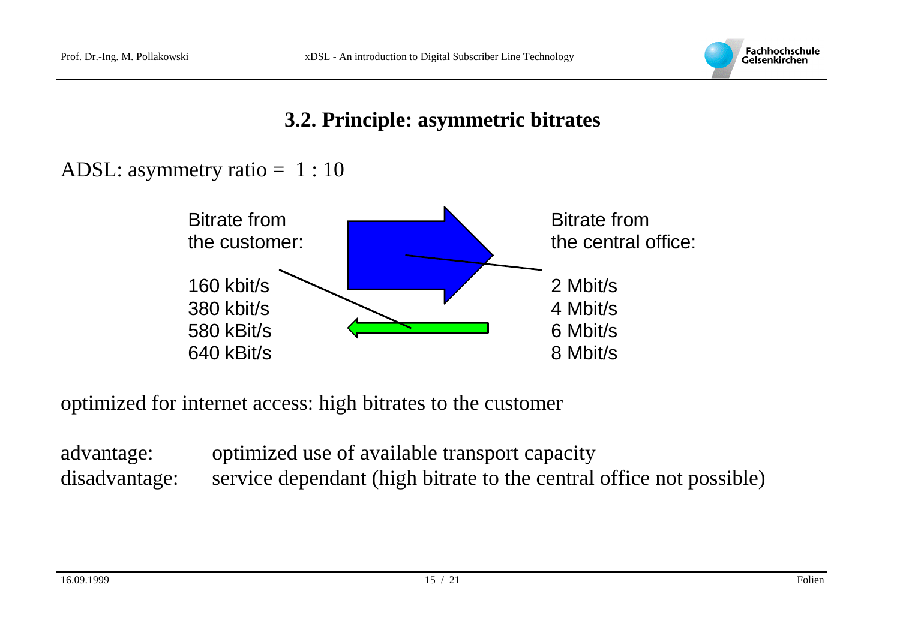

#### **3.2. Principle: asymmetric bitrates**

#### ADSL: asymmetry ratio  $= 1:10$



optimized for internet access: high bitrates to the customer

advantage: optimized use of available transport capacity disadvantage: service dependant (high bitrate to the central office not possible)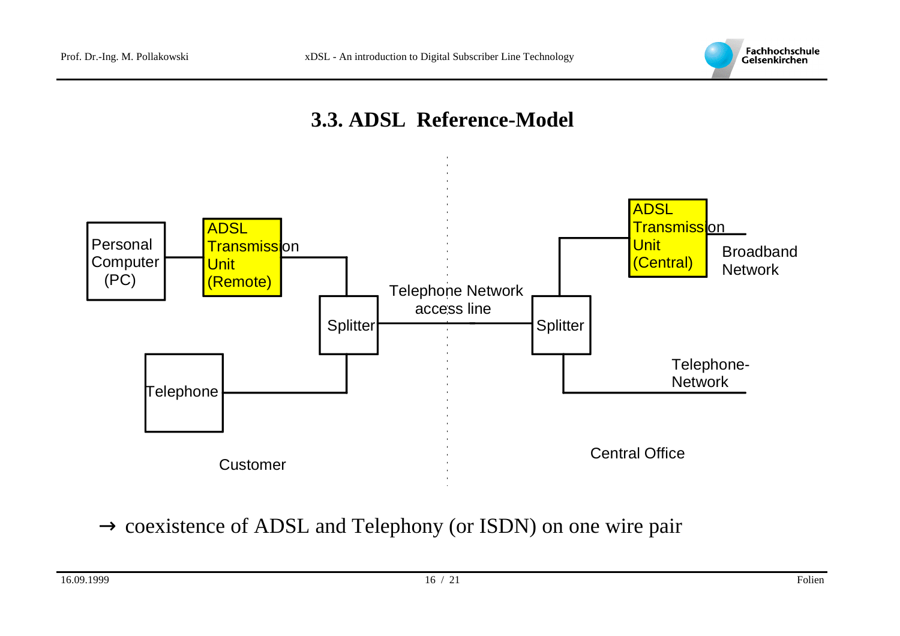

#### **3.3. ADSL Reference-Model**



 $\rightarrow$  coexistence of ADSL and Telephony (or ISDN) on one wire pair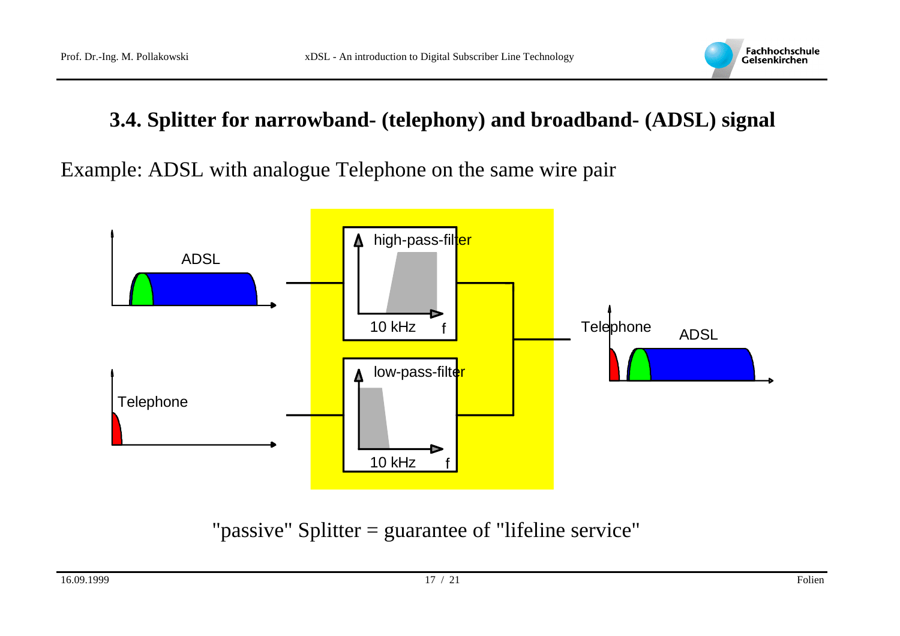

#### **3.4. Splitter for narrowband- (telephony) and broadband- (ADSL) signal**

Example: ADSL with analogue Telephone on the same wire pair



"passive" Splitter = guarantee of "lifeline service"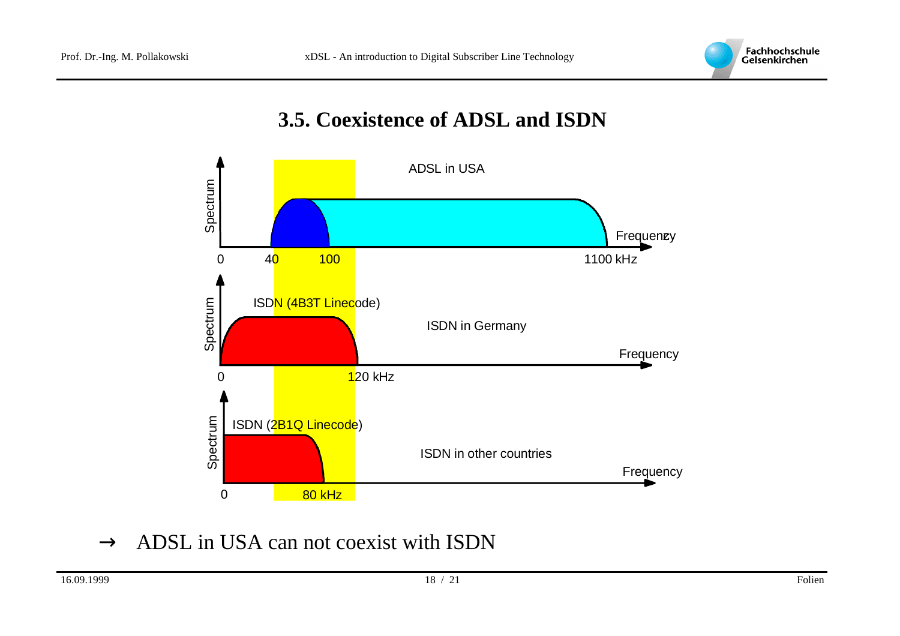

### **3.5. Coexistence of ADSL and ISDN**



#### $\rightarrow$  ADSL in USA can not coexist with ISDN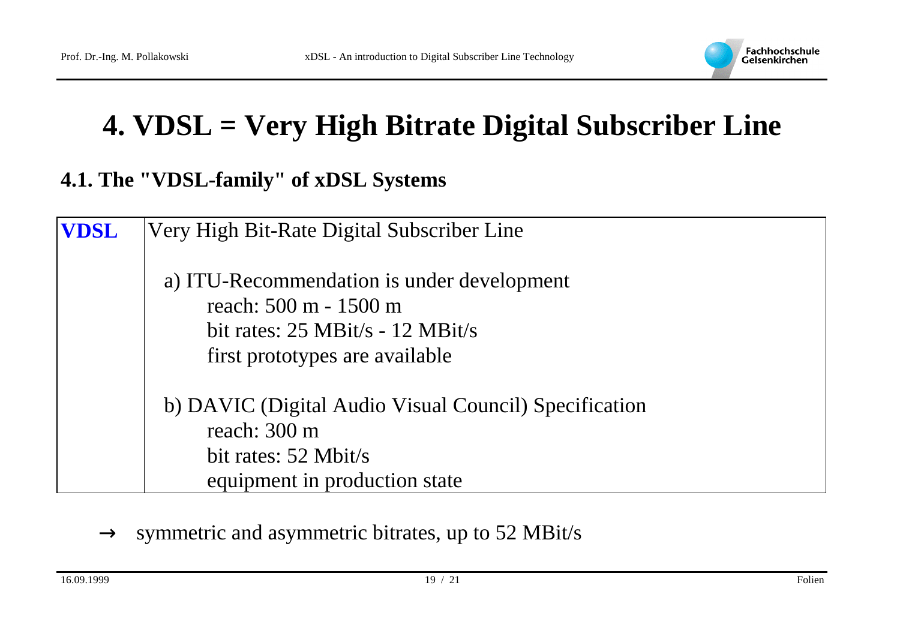

## **4. VDSL = Very High Bitrate Digital Subscriber Line**

#### **4.1. The "VDSL-family" of xDSL Systems**

| <b>VDSL</b> | Very High Bit-Rate Digital Subscriber Line                                                                                                                  |
|-------------|-------------------------------------------------------------------------------------------------------------------------------------------------------------|
|             | a) ITU-Recommendation is under development<br>reach: 500 m - 1500 m<br>bit rates: $25 \text{ MBit/s} - 12 \text{ MBit/s}$<br>first prototypes are available |
|             | b) DAVIC (Digital Audio Visual Council) Specification<br>reach: 300 m<br>bit rates: 52 Mbit/s<br>equipment in production state                              |

 $\rightarrow$  symmetric and asymmetric bitrates, up to 52 MBit/s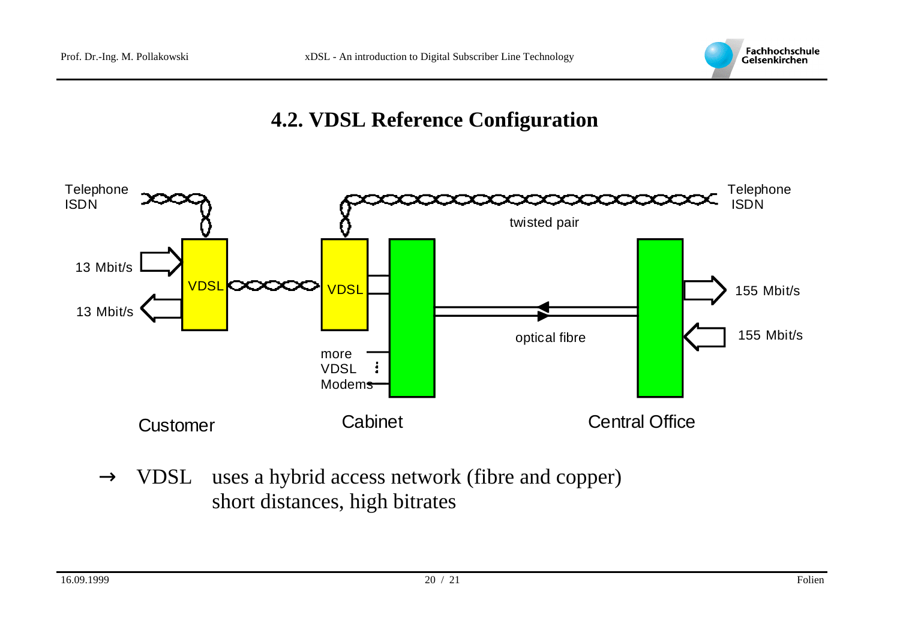

#### **4.2. VDSL Reference Configuration**



 $\rightarrow$  VDSL uses a hybrid access network (fibre and copper) short distances, high bitrates